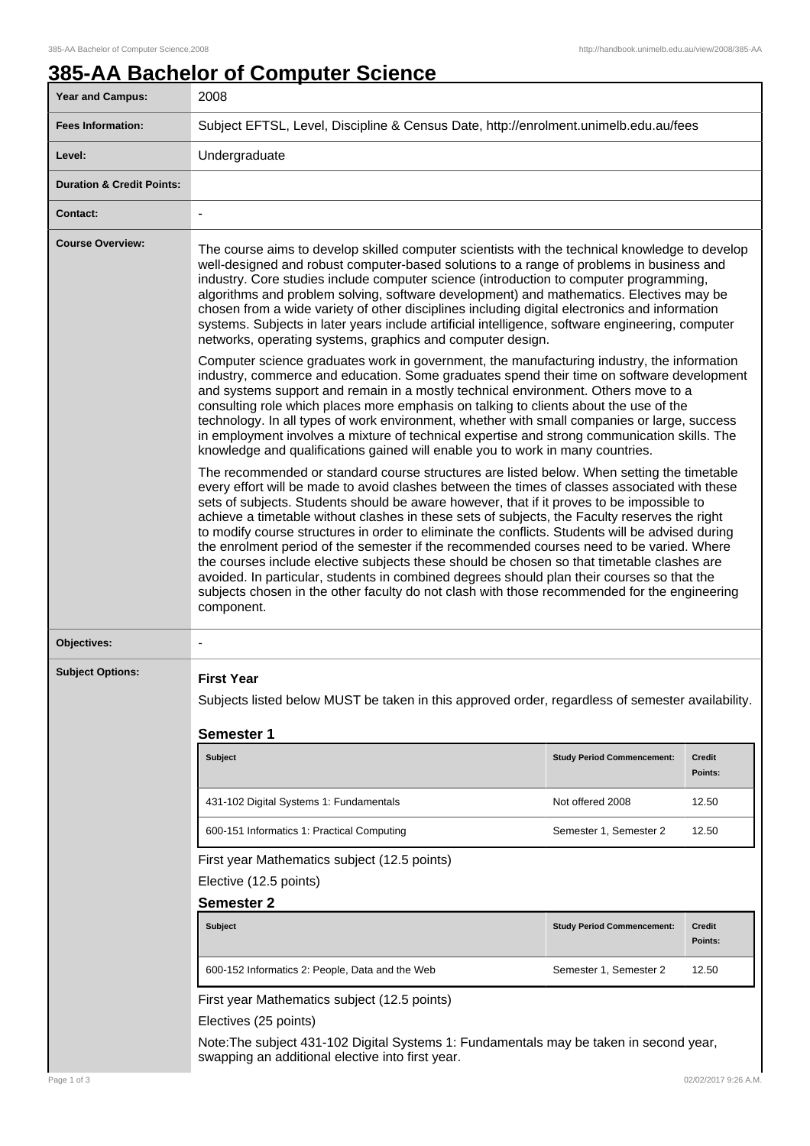## **385-AA Bachelor of Computer Science**

| Year and Campus:                     | 2008                                                                                                                                                                                                                                                                                                                                                                                                                                                                                                                                                                                                                                                                                                                                                                                                                                                                                                |                                   |                          |  |
|--------------------------------------|-----------------------------------------------------------------------------------------------------------------------------------------------------------------------------------------------------------------------------------------------------------------------------------------------------------------------------------------------------------------------------------------------------------------------------------------------------------------------------------------------------------------------------------------------------------------------------------------------------------------------------------------------------------------------------------------------------------------------------------------------------------------------------------------------------------------------------------------------------------------------------------------------------|-----------------------------------|--------------------------|--|
| <b>Fees Information:</b>             | Subject EFTSL, Level, Discipline & Census Date, http://enrolment.unimelb.edu.au/fees                                                                                                                                                                                                                                                                                                                                                                                                                                                                                                                                                                                                                                                                                                                                                                                                                |                                   |                          |  |
| Level:                               | Undergraduate                                                                                                                                                                                                                                                                                                                                                                                                                                                                                                                                                                                                                                                                                                                                                                                                                                                                                       |                                   |                          |  |
| <b>Duration &amp; Credit Points:</b> |                                                                                                                                                                                                                                                                                                                                                                                                                                                                                                                                                                                                                                                                                                                                                                                                                                                                                                     |                                   |                          |  |
| <b>Contact:</b>                      |                                                                                                                                                                                                                                                                                                                                                                                                                                                                                                                                                                                                                                                                                                                                                                                                                                                                                                     |                                   |                          |  |
| <b>Course Overview:</b>              | The course aims to develop skilled computer scientists with the technical knowledge to develop<br>well-designed and robust computer-based solutions to a range of problems in business and<br>industry. Core studies include computer science (introduction to computer programming,<br>algorithms and problem solving, software development) and mathematics. Electives may be<br>chosen from a wide variety of other disciplines including digital electronics and information<br>systems. Subjects in later years include artificial intelligence, software engineering, computer<br>networks, operating systems, graphics and computer design.                                                                                                                                                                                                                                                  |                                   |                          |  |
|                                      | Computer science graduates work in government, the manufacturing industry, the information<br>industry, commerce and education. Some graduates spend their time on software development<br>and systems support and remain in a mostly technical environment. Others move to a<br>consulting role which places more emphasis on talking to clients about the use of the<br>technology. In all types of work environment, whether with small companies or large, success<br>in employment involves a mixture of technical expertise and strong communication skills. The<br>knowledge and qualifications gained will enable you to work in many countries.                                                                                                                                                                                                                                            |                                   |                          |  |
|                                      | The recommended or standard course structures are listed below. When setting the timetable<br>every effort will be made to avoid clashes between the times of classes associated with these<br>sets of subjects. Students should be aware however, that if it proves to be impossible to<br>achieve a timetable without clashes in these sets of subjects, the Faculty reserves the right<br>to modify course structures in order to eliminate the conflicts. Students will be advised during<br>the enrolment period of the semester if the recommended courses need to be varied. Where<br>the courses include elective subjects these should be chosen so that timetable clashes are<br>avoided. In particular, students in combined degrees should plan their courses so that the<br>subjects chosen in the other faculty do not clash with those recommended for the engineering<br>component. |                                   |                          |  |
| Objectives:                          |                                                                                                                                                                                                                                                                                                                                                                                                                                                                                                                                                                                                                                                                                                                                                                                                                                                                                                     |                                   |                          |  |
| <b>Subject Options:</b>              | <b>First Year</b><br>Subjects listed below MUST be taken in this approved order, regardless of semester availability.<br><b>Semester 1</b>                                                                                                                                                                                                                                                                                                                                                                                                                                                                                                                                                                                                                                                                                                                                                          |                                   |                          |  |
|                                      | <b>Subject</b>                                                                                                                                                                                                                                                                                                                                                                                                                                                                                                                                                                                                                                                                                                                                                                                                                                                                                      | <b>Study Period Commencement:</b> | <b>Credit</b><br>Points: |  |
|                                      | 431-102 Digital Systems 1: Fundamentals                                                                                                                                                                                                                                                                                                                                                                                                                                                                                                                                                                                                                                                                                                                                                                                                                                                             | Not offered 2008                  | 12.50                    |  |
|                                      | 600-151 Informatics 1: Practical Computing                                                                                                                                                                                                                                                                                                                                                                                                                                                                                                                                                                                                                                                                                                                                                                                                                                                          | Semester 1, Semester 2            | 12.50                    |  |
|                                      | First year Mathematics subject (12.5 points)<br>Elective (12.5 points)<br><b>Semester 2</b>                                                                                                                                                                                                                                                                                                                                                                                                                                                                                                                                                                                                                                                                                                                                                                                                         |                                   |                          |  |
|                                      | <b>Subject</b>                                                                                                                                                                                                                                                                                                                                                                                                                                                                                                                                                                                                                                                                                                                                                                                                                                                                                      | <b>Study Period Commencement:</b> | <b>Credit</b><br>Points: |  |
|                                      | 600-152 Informatics 2: People, Data and the Web                                                                                                                                                                                                                                                                                                                                                                                                                                                                                                                                                                                                                                                                                                                                                                                                                                                     | Semester 1, Semester 2            | 12.50                    |  |
|                                      | First year Mathematics subject (12.5 points)<br>Electives (25 points)<br>Note: The subject 431-102 Digital Systems 1: Fundamentals may be taken in second year,<br>swapping an additional elective into first year.                                                                                                                                                                                                                                                                                                                                                                                                                                                                                                                                                                                                                                                                                 |                                   |                          |  |
| Page 1 of 3                          |                                                                                                                                                                                                                                                                                                                                                                                                                                                                                                                                                                                                                                                                                                                                                                                                                                                                                                     |                                   | 02/02/2017 9:26 A.M.     |  |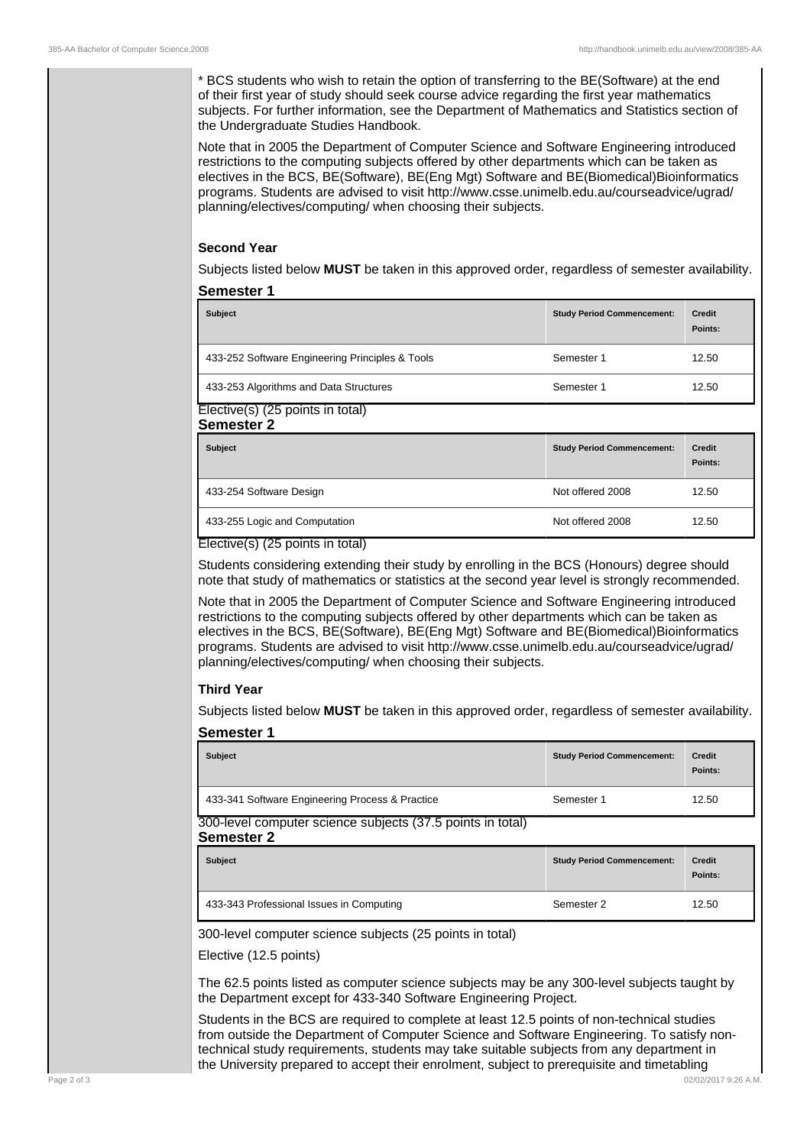\* BCS students who wish to retain the option of transferring to the BE(Software) at the end of their first year of study should seek course advice regarding the first year mathematics subjects. For further information, see the Department of Mathematics and Statistics section of the Undergraduate Studies Handbook.

Note that in 2005 the Department of Computer Science and Software Engineering introduced restrictions to the computing subjects offered by other departments which can be taken as electives in the BCS, BE(Software), BE(Eng Mgt) Software and BE(Biomedical)Bioinformatics programs. Students are advised to visit http://www.csse.unimelb.edu.au/courseadvice/ugrad/ planning/electives/computing/ when choosing their subjects.

## **Second Year**

Subjects listed below **MUST** be taken in this approved order, regardless of semester availability.

## **Semester 1**

| <b>Subject</b>                                  | <b>Study Period Commencement:</b> | <b>Credit</b><br>Points: |
|-------------------------------------------------|-----------------------------------|--------------------------|
| 433-252 Software Engineering Principles & Tools | Semester 1                        | 12.50                    |
| 433-253 Algorithms and Data Structures          | Semester 1                        | 12.50                    |

Elective(s) (25 points in total) **Semester 2**

| <b>Subject</b>                | <b>Study Period Commencement:</b> | <b>Credit</b><br>Points: |
|-------------------------------|-----------------------------------|--------------------------|
| 433-254 Software Design       | Not offered 2008                  | 12.50                    |
| 433-255 Logic and Computation | Not offered 2008                  | 12.50                    |

Elective(s) (25 points in total)

Students considering extending their study by enrolling in the BCS (Honours) degree should note that study of mathematics or statistics at the second year level is strongly recommended.

Note that in 2005 the Department of Computer Science and Software Engineering introduced restrictions to the computing subjects offered by other departments which can be taken as electives in the BCS, BE(Software), BE(Eng Mgt) Software and BE(Biomedical)Bioinformatics programs. Students are advised to visit http://www.csse.unimelb.edu.au/courseadvice/ugrad/ planning/electives/computing/ when choosing their subjects.

## **Third Year**

Subjects listed below **MUST** be taken in this approved order, regardless of semester availability.

| <b>Semester 1</b>                                                               |                                   |                          |
|---------------------------------------------------------------------------------|-----------------------------------|--------------------------|
| <b>Subject</b>                                                                  | <b>Study Period Commencement:</b> | <b>Credit</b><br>Points: |
| 433-341 Software Engineering Process & Practice                                 | Semester 1                        | 12.50                    |
| 300-level computer science subjects (37.5 points in total)<br><b>Semester 2</b> |                                   |                          |
| <b>Subject</b>                                                                  | <b>Study Period Commencement:</b> | <b>Credit</b><br>Points: |
| 433-343 Professional Issues in Computing                                        | Semester 2                        | 12.50                    |
| 300-level computer science subjects (25 points in total)                        |                                   |                          |

The 62.5 points listed as computer science subjects may be any 300-level subjects taught by the Department except for 433-340 Software Engineering Project.

Students in the BCS are required to complete at least 12.5 points of non-technical studies from outside the Department of Computer Science and Software Engineering. To satisfy nontechnical study requirements, students may take suitable subjects from any department in the University prepared to accept their enrolment, subject to prerequisite and timetabling